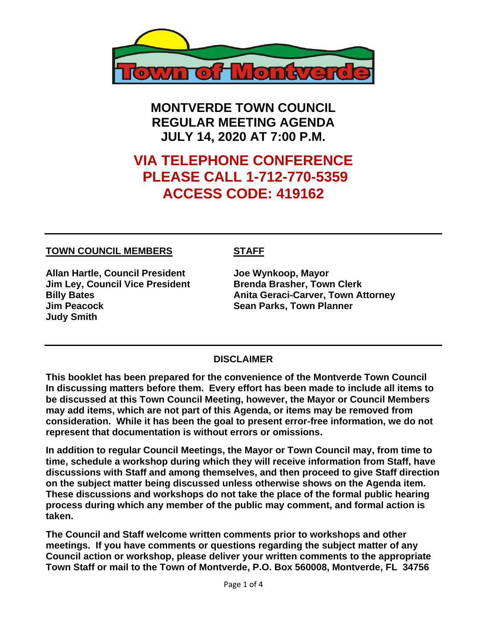

**MONTVERDE TOWN COUNCIL REGULAR MEETING AGENDA JULY 14, 2020 AT 7:00 P.M.**

# **VIA TELEPHONE CONFERENCE PLEASE CALL 1-712-770-5359 ACCESS CODE: 419162**

#### **TOWN COUNCIL MEMBERS STAFF**

**Allan Hartle, Council President Joe Wynkoop, Mayor Jim Ley, Council Vice President Brenda Brasher, Town Clerk Jim Peacock Sean Parks, Town Planner Judy Smith** 

**Billy Bates Anita Geraci-Carver, Town Attorney** 

#### **DISCLAIMER**

**This booklet has been prepared for the convenience of the Montverde Town Council In discussing matters before them. Every effort has been made to include all items to be discussed at this Town Council Meeting, however, the Mayor or Council Members may add items, which are not part of this Agenda, or items may be removed from consideration. While it has been the goal to present error-free information, we do not represent that documentation is without errors or omissions.**

**In addition to regular Council Meetings, the Mayor or Town Council may, from time to time, schedule a workshop during which they will receive information from Staff, have discussions with Staff and among themselves, and then proceed to give Staff direction on the subject matter being discussed unless otherwise shows on the Agenda item. These discussions and workshops do not take the place of the formal public hearing process during which any member of the public may comment, and formal action is taken.** 

**The Council and Staff welcome written comments prior to workshops and other meetings. If you have comments or questions regarding the subject matter of any Council action or workshop, please deliver your written comments to the appropriate Town Staff or mail to the Town of Montverde, P.O. Box 560008, Montverde, FL 34756**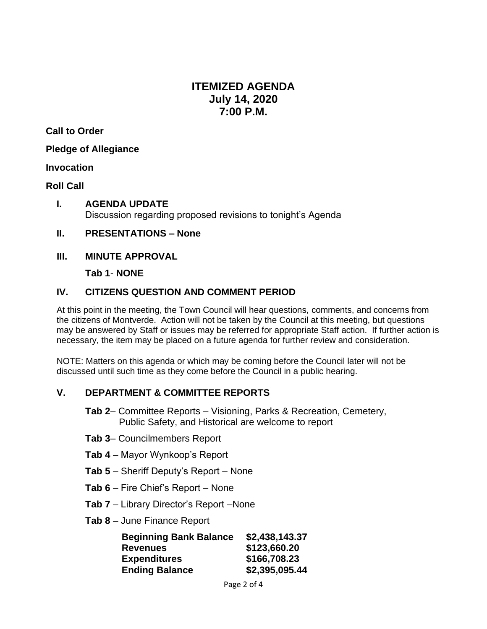## **ITEMIZED AGENDA July 14, 2020 7:00 P.M.**

**Call to Order**

**Pledge of Allegiance**

#### **Invocation**

#### **Roll Call**

- **I. AGENDA UPDATE** Discussion regarding proposed revisions to tonight's Agenda
- **II. PRESENTATIONS – None**
- **III. MINUTE APPROVAL**

**Tab 1**- **NONE**

### **IV. CITIZENS QUESTION AND COMMENT PERIOD**

At this point in the meeting, the Town Council will hear questions, comments, and concerns from the citizens of Montverde. Action will not be taken by the Council at this meeting, but questions may be answered by Staff or issues may be referred for appropriate Staff action. If further action is necessary, the item may be placed on a future agenda for further review and consideration.

NOTE: Matters on this agenda or which may be coming before the Council later will not be discussed until such time as they come before the Council in a public hearing.

#### **V. DEPARTMENT & COMMITTEE REPORTS**

- **Tab 2** Committee Reports Visioning, Parks & Recreation, Cemetery, Public Safety, and Historical are welcome to report
- **Tab 3** Councilmembers Report
- **Tab 4** Mayor Wynkoop's Report
- **Tab 5** Sheriff Deputy's Report None
- **Tab 6** Fire Chief's Report None
- **Tab 7** Library Director's Report –None
- **Tab 8** June Finance Report

| <b>Beginning Bank Balance</b> | \$2,438,143.37 |
|-------------------------------|----------------|
| <b>Revenues</b>               | \$123,660.20   |
| <b>Expenditures</b>           | \$166,708.23   |
| <b>Ending Balance</b>         | \$2,395,095.44 |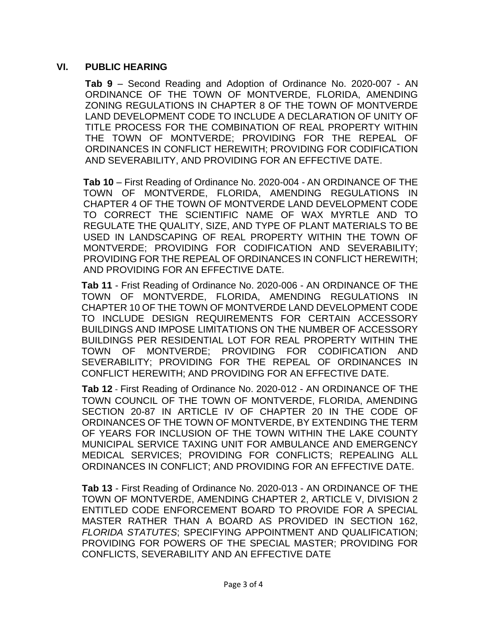#### **VI. PUBLIC HEARING**

**Tab 9** – Second Reading and Adoption of Ordinance No. 2020-007 - AN ORDINANCE OF THE TOWN OF MONTVERDE, FLORIDA, AMENDING ZONING REGULATIONS IN CHAPTER 8 OF THE TOWN OF MONTVERDE LAND DEVELOPMENT CODE TO INCLUDE A DECLARATION OF UNITY OF TITLE PROCESS FOR THE COMBINATION OF REAL PROPERTY WITHIN THE TOWN OF MONTVERDE; PROVIDING FOR THE REPEAL OF ORDINANCES IN CONFLICT HEREWITH; PROVIDING FOR CODIFICATION AND SEVERABILITY, AND PROVIDING FOR AN EFFECTIVE DATE.

**Tab 10** – First Reading of Ordinance No. 2020-004 - AN ORDINANCE OF THE TOWN OF MONTVERDE, FLORIDA, AMENDING REGULATIONS IN CHAPTER 4 OF THE TOWN OF MONTVERDE LAND DEVELOPMENT CODE TO CORRECT THE SCIENTIFIC NAME OF WAX MYRTLE AND TO REGULATE THE QUALITY, SIZE, AND TYPE OF PLANT MATERIALS TO BE USED IN LANDSCAPING OF REAL PROPERTY WITHIN THE TOWN OF MONTVERDE; PROVIDING FOR CODIFICATION AND SEVERABILITY; PROVIDING FOR THE REPEAL OF ORDINANCES IN CONFLICT HEREWITH; AND PROVIDING FOR AN EFFECTIVE DATE.

**Tab 11** - Frist Reading of Ordinance No. 2020-006 - AN ORDINANCE OF THE TOWN OF MONTVERDE, FLORIDA, AMENDING REGULATIONS IN CHAPTER 10 OF THE TOWN OF MONTVERDE LAND DEVELOPMENT CODE TO INCLUDE DESIGN REQUIREMENTS FOR CERTAIN ACCESSORY BUILDINGS AND IMPOSE LIMITATIONS ON THE NUMBER OF ACCESSORY BUILDINGS PER RESIDENTIAL LOT FOR REAL PROPERTY WITHIN THE TOWN OF MONTVERDE; PROVIDING FOR CODIFICATION AND SEVERABILITY; PROVIDING FOR THE REPEAL OF ORDINANCES IN CONFLICT HEREWITH; AND PROVIDING FOR AN EFFECTIVE DATE.

**Tab 12** - First Reading of Ordinance No. 2020-012 - AN ORDINANCE OF THE TOWN COUNCIL OF THE TOWN OF MONTVERDE, FLORIDA, AMENDING SECTION 20-87 IN ARTICLE IV OF CHAPTER 20 IN THE CODE OF ORDINANCES OF THE TOWN OF MONTVERDE, BY EXTENDING THE TERM OF YEARS FOR INCLUSION OF THE TOWN WITHIN THE LAKE COUNTY MUNICIPAL SERVICE TAXING UNIT FOR AMBULANCE AND EMERGENCY MEDICAL SERVICES; PROVIDING FOR CONFLICTS; REPEALING ALL ORDINANCES IN CONFLICT; AND PROVIDING FOR AN EFFECTIVE DATE.

**Tab 13** - First Reading of Ordinance No. 2020-013 - AN ORDINANCE OF THE TOWN OF MONTVERDE, AMENDING CHAPTER 2, ARTICLE V, DIVISION 2 ENTITLED CODE ENFORCEMENT BOARD TO PROVIDE FOR A SPECIAL MASTER RATHER THAN A BOARD AS PROVIDED IN SECTION 162, *FLORIDA STATUTES*; SPECIFYING APPOINTMENT AND QUALIFICATION; PROVIDING FOR POWERS OF THE SPECIAL MASTER; PROVIDING FOR CONFLICTS, SEVERABILITY AND AN EFFECTIVE DATE